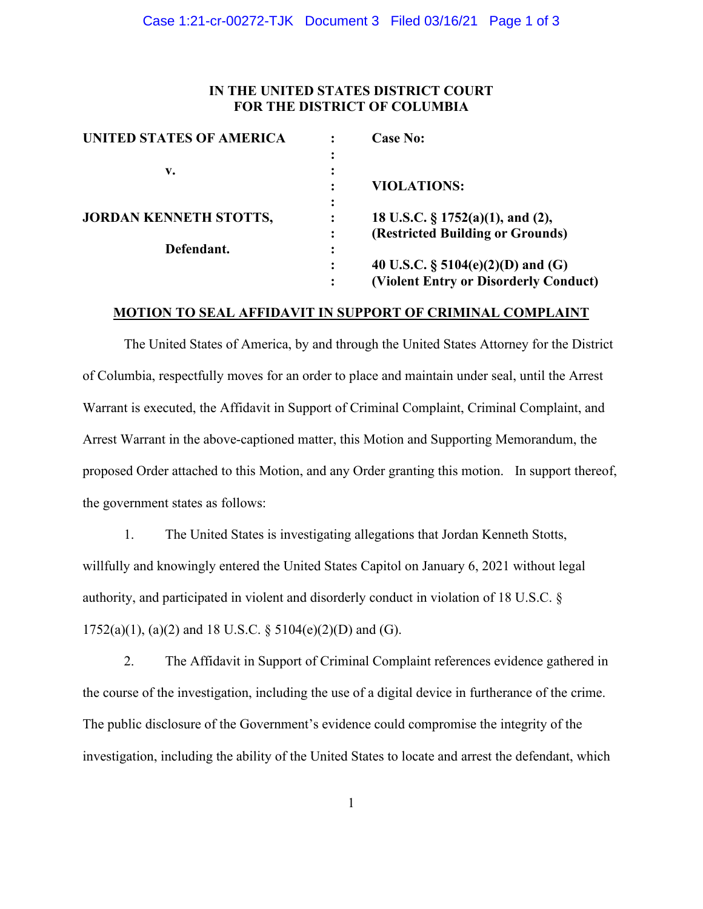# **IN THE UNITED STATES DISTRICT COURT FOR THE DISTRICT OF COLUMBIA**

| <b>UNITED STATES OF AMERICA</b> |           | <b>Case No:</b>                       |
|---------------------------------|-----------|---------------------------------------|
|                                 |           |                                       |
| v.                              | $\bullet$ |                                       |
|                                 |           | <b>VIOLATIONS:</b>                    |
|                                 |           |                                       |
| <b>JORDAN KENNETH STOTTS,</b>   |           | 18 U.S.C. § 1752(a)(1), and (2),      |
|                                 |           | (Restricted Building or Grounds)      |
| Defendant.                      |           |                                       |
|                                 |           | 40 U.S.C. $\S$ 5104(e)(2)(D) and (G)  |
|                                 |           | (Violent Entry or Disorderly Conduct) |

### **MOTION TO SEAL AFFIDAVIT IN SUPPORT OF CRIMINAL COMPLAINT**

The United States of America, by and through the United States Attorney for the District of Columbia, respectfully moves for an order to place and maintain under seal, until the Arrest Warrant is executed, the Affidavit in Support of Criminal Complaint, Criminal Complaint, and Arrest Warrant in the above-captioned matter, this Motion and Supporting Memorandum, the proposed Order attached to this Motion, and any Order granting this motion. In support thereof, the government states as follows:

1. The United States is investigating allegations that Jordan Kenneth Stotts, willfully and knowingly entered the United States Capitol on January 6, 2021 without legal authority, and participated in violent and disorderly conduct in violation of 18 U.S.C. §  $1752(a)(1)$ , (a)(2) and 18 U.S.C. § 5104(e)(2)(D) and (G).

2. The Affidavit in Support of Criminal Complaint references evidence gathered in the course of the investigation, including the use of a digital device in furtherance of the crime. The public disclosure of the Government's evidence could compromise the integrity of the investigation, including the ability of the United States to locate and arrest the defendant, which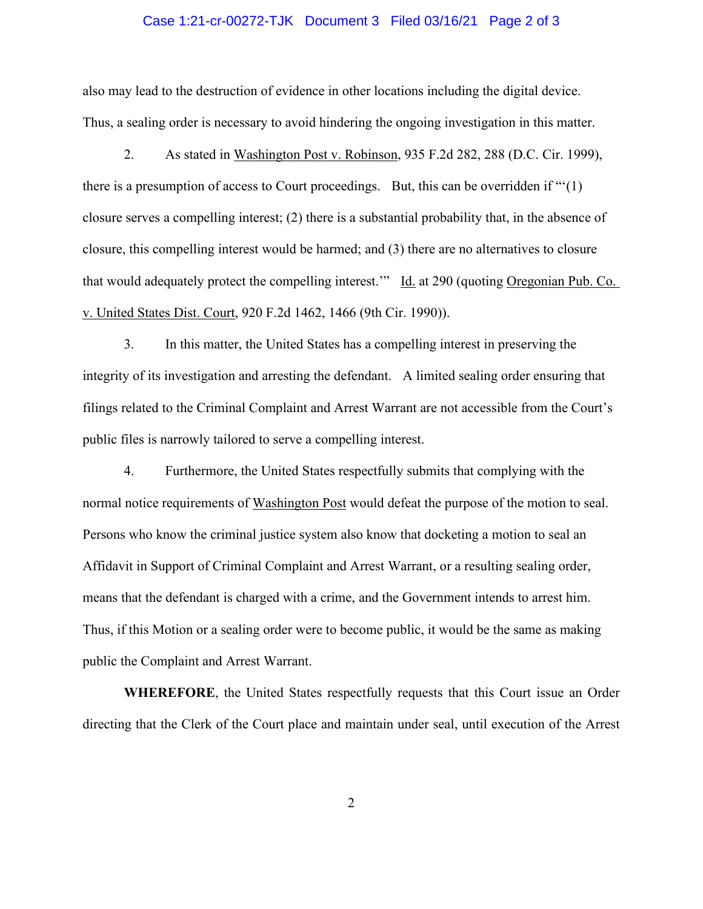### Case 1:21-cr-00272-TJK Document 3 Filed 03/16/21 Page 2 of 3

also may lead to the destruction of evidence in other locations including the digital device. Thus, a sealing order is necessary to avoid hindering the ongoing investigation in this matter.

2. As stated in Washington Post v. Robinson, 935 F.2d 282, 288 (D.C. Cir. 1999), there is a presumption of access to Court proceedings. But, this can be overridden if "'(1) closure serves a compelling interest; (2) there is a substantial probability that, in the absence of closure, this compelling interest would be harmed; and (3) there are no alternatives to closure that would adequately protect the compelling interest.'" Id. at 290 (quoting Oregonian Pub. Co. v. United States Dist. Court, 920 F.2d 1462, 1466 (9th Cir. 1990)).

3. In this matter, the United States has a compelling interest in preserving the integrity of its investigation and arresting the defendant. A limited sealing order ensuring that filings related to the Criminal Complaint and Arrest Warrant are not accessible from the Court's public files is narrowly tailored to serve a compelling interest.

4. Furthermore, the United States respectfully submits that complying with the normal notice requirements of Washington Post would defeat the purpose of the motion to seal. Persons who know the criminal justice system also know that docketing a motion to seal an Affidavit in Support of Criminal Complaint and Arrest Warrant, or a resulting sealing order, means that the defendant is charged with a crime, and the Government intends to arrest him. Thus, if this Motion or a sealing order were to become public, it would be the same as making public the Complaint and Arrest Warrant.

**WHEREFORE**, the United States respectfully requests that this Court issue an Order directing that the Clerk of the Court place and maintain under seal, until execution of the Arrest

2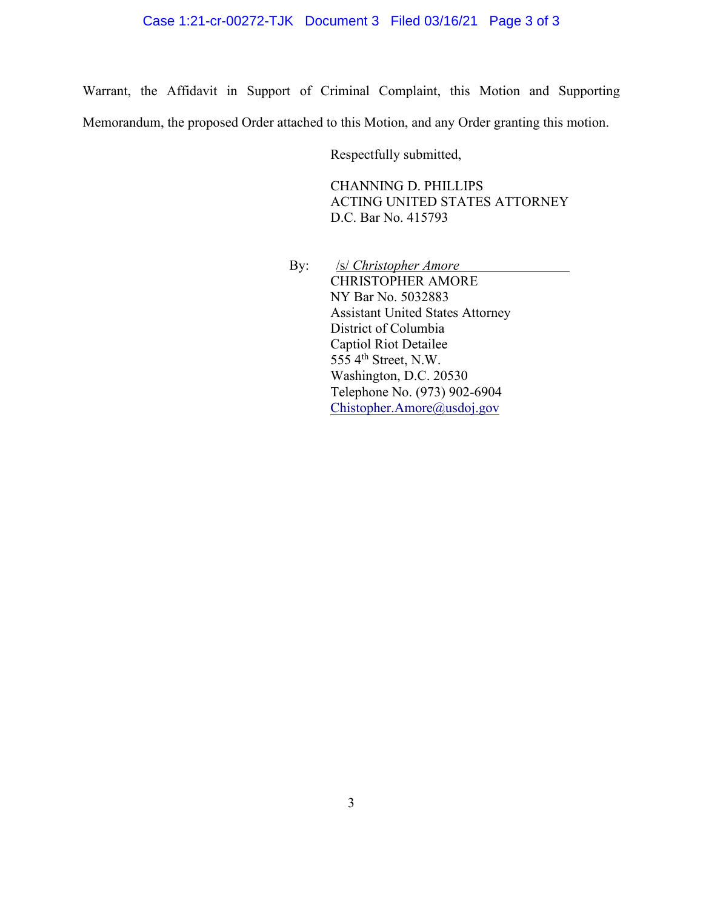Warrant, the Affidavit in Support of Criminal Complaint, this Motion and Supporting Memorandum, the proposed Order attached to this Motion, and any Order granting this motion.

Respectfully submitted,

CHANNING D. PHILLIPS ACTING UNITED STATES ATTORNEY D.C. Bar No. 415793

By: *<u>/s/ Christopher Amore</u>* CHRISTOPHER AMORE NY Bar No. 5032883 Assistant United States Attorney District of Columbia Captiol Riot Detailee  $55\overline{5}$  4<sup>th</sup> Street, N.W. Washington, D.C. 20530 Telephone No. (973) 902-6904 Chistopher.Amore@usdoj.gov